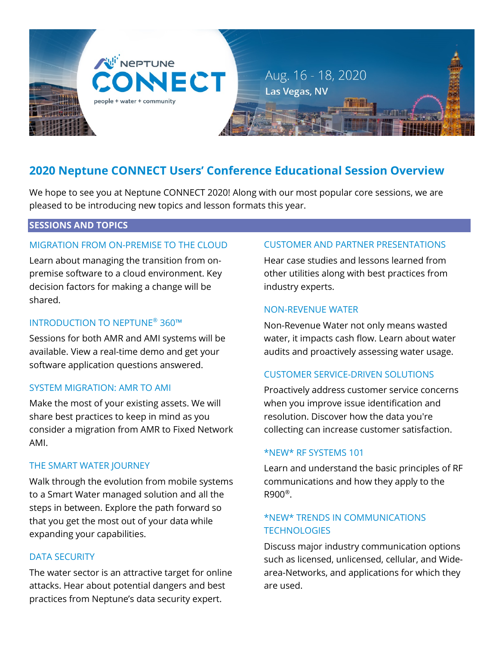

# **2020 Neptune CONNECT Users' Conference Educational Session Overview**

We hope to see you at Neptune CONNECT 2020! Along with our most popular core sessions, we are pleased to be introducing new topics and lesson formats this year.

# **SESSIONS AND TOPICS**

## MIGRATION FROM ON-PREMISE TO THE CLOUD

Learn about managing the transition from onpremise software to a cloud environment. Key decision factors for making a change will be shared.

#### INTRODUCTION TO NEPTUNE® 360™

Sessions for both AMR and AMI systems will be available. View a real-time demo and get your software application questions answered.

#### SYSTEM MIGRATION: AMR TO AMI

Make the most of your existing assets. We will share best practices to keep in mind as you consider a migration from AMR to Fixed Network AMI.

#### THE SMART WATER JOURNEY

Walk through the evolution from mobile systems to a Smart Water managed solution and all the steps in between. Explore the path forward so that you get the most out of your data while expanding your capabilities.

#### DATA SECURITY

The water sector is an attractive target for online attacks. Hear about potential dangers and best practices from Neptune's data security expert.

# CUSTOMER AND PARTNER PRESENTATIONS

Hear case studies and lessons learned from other utilities along with best practices from industry experts.

#### NON-REVENUE WATER

Non-Revenue Water not only means wasted water, it impacts cash flow. Learn about water audits and proactively assessing water usage.

# CUSTOMER SERVICE-DRIVEN SOLUTIONS

Proactively address customer service concerns when you improve issue identification and resolution. Discover how the data you're collecting can increase customer satisfaction.

#### \*NEW\* RF SYSTEMS 101

Learn and understand the basic principles of RF communications and how they apply to the R900®.

# \*NEW\* TRENDS IN COMMUNICATIONS **TECHNOLOGIES**

Discuss major industry communication options such as licensed, unlicensed, cellular, and Widearea-Networks, and applications for which they are used.